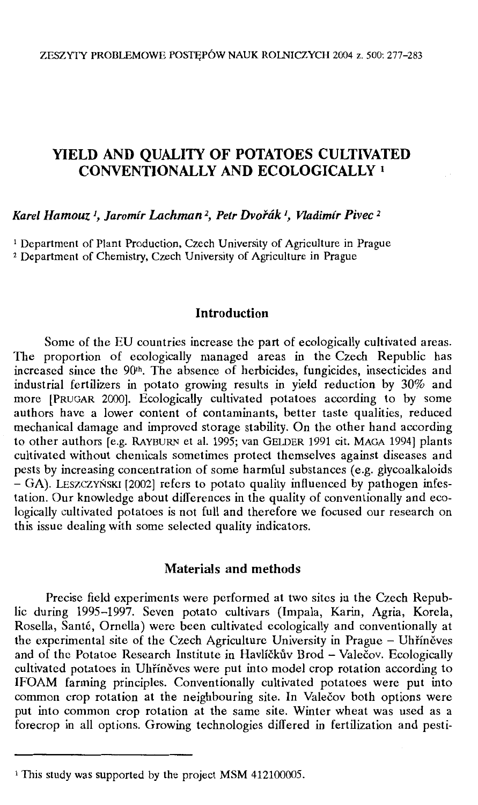# **YIELD AND QUALITY OF POTATOES CULTIVATED CONVENTIONALLY AND ECOLOGICALLY** <sup>1</sup>

# *Karel Hamouz <sup>1</sup> , Jaromir Lachman 2, Petr Dvorak 1, Vladimir Pivec <sup>2</sup>*

<sup>1</sup> Department of Plant Production, Czech University of Agriculture in Prague <sup>2</sup> Department of Chemistry, Czech University of Agriculture in Prague

### **Introduction**

Some of the EU countries increase the part of ecologically cultivated areas. The proportion of ecologically managed areas in the Czech Republic has increased since the 90<sup>th</sup>. The absence of herbicides, fungicides, insecticides and industrial fertilizers in potato growing results in yield reduction by 30% and more [PRUGAR 2000). Ecologically cultivated potatoes according to by some authors have a lower content of contaminants, better taste qualities, reduced mechanical damage and improved storage stability. On the other hand according to other authors [e.g. RAYBURN et al. 1995; van GELDER 1991 cit. MAGA 1994] plants cultivated without chemicals sometimcs protect themselves against diseases and pests by increasing concentration of some harmful substances  $(e.g.$  glycoalkaloids - GA). LESZCZYŃSKI [2002] refcrs to potato quality influenced by pathogen infestation. Our knowledge about differences in the quality of conventionally and ecologically cultivated potatoes is not full and therefore we focused our research on this issuc dealing with some selected quality indicators.

### **Materials and methods**

Precise field experiments were performed at two sites in the Czech Republic during 1995-1997. Seven potato cultivars (Impala, Karin, Agria, Korela, Rosella, Santć, Ornclla) werc been cultivated ecologically and conventionally at the experimental site of the Czech Agriculture University in Prague - Uhříněves and of the Potatoe Research Institute in Havlíčkův Brod - Valečov. Ecologically cultivated potatoes in Uhříněves were put into model crop rotation according to IFOAM farming principles. Conventionally cultivated potatoes were put into common crop rotation at the neighbouring site. In Valečov both options were put into common crop rotation at the same site. Winter wheat was used as a forecrop in all options. Growing technologies differed in fertilization and pesti-

<sup>&</sup>lt;sup>1</sup> This study was supported by the project MSM 412100005.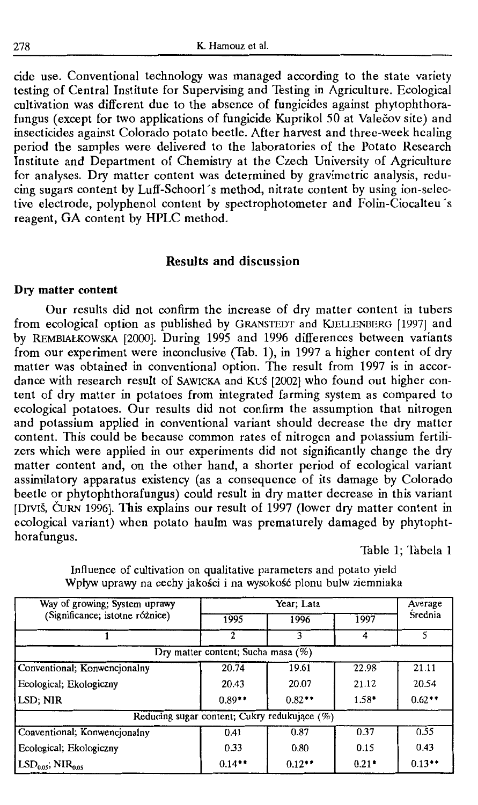cide use. Conventional technology was managed according to the state variety testing of Central Institute for Supervising and Testing in Agriculture. Ecological cultivation was different due to the absence of fungicides against phytophthorafungus (except for two applications of fungicide Kuprikol 50 at Valecov site) and insecticides against Colorado patata beetle. After harvest and three-week healing period the samples were delivered to the laboratories of the Potato Research Institute and Department of Chemistry at the Czech University of Agriculture for analyses. Dry matter content was determined by gravimctric analysis, rcducing sugars content by Luff-Schoorl 's mcthod, nitrate content by using ion-selective electrode, polyphenol content by spectrophotometer and Folin-Ciocalteu's reagent, GA content by HPLC method.

### **Results and discussion**

#### **Dry matter content**

Our results did not confirm the increase of dry matter content in tubers from ecological option as published by GRANSTEDT and KIELLENBERG [1997] and by REMBIAŁKOWSKA [2000]. During 1995 and 1996 differences between variants from aur experiment were inconclusive (Tab. 1), in 1997 a higher content of dry matter was obtained in conventional option. The result from 1997 is in accordance with research result of SAWICKA and Kuś [2002] who found out higher content of dry matter in potatoes from integrated farming system as compared to ecological potatoes. Our results did not confirm the assumption that nitrogen and potassium applied in conventional variant should decrease the dry matter content. This could be because common rates of nitrogen and potassium fertilizers which were applied in our experiments did not significantly change the dry matter content and, on the other hand, a shorter period of ecological variant assimilatory apparatus existency (as a consequence of its damage by Colorado beetle or phytophthorafungus) could result in dry matter decrease in this variant [DIVIS, ĆURN 1996]. This explains our result of 1997 (lower dry matter content in ecological variant) when potato haulm was prematurely damaged by phytophthorafungus.

Table 1; 'fabela 1

| Way of growing; System uprawy<br>(Significance; istotne różnice) | Year; Lata |          |         | Average   |  |  |
|------------------------------------------------------------------|------------|----------|---------|-----------|--|--|
|                                                                  | 1995       | 1996     | 1997    | Srednia   |  |  |
|                                                                  |            | 3        |         |           |  |  |
| Dry matter content; Sucha masa (%)                               |            |          |         |           |  |  |
| Conventional; Konwencjonalny                                     | 20.74      | 19.61    | 22.98   | 21.11     |  |  |
| Ecological; Ekologiczny                                          | 20.43      | 20.07    | 21.12   | 20.54     |  |  |
| LSD; NIR                                                         | $0.89**$   | $0.82**$ | $1.58*$ | $0.62**$  |  |  |
| Reducing sugar content; Cukry redukujące (%)                     |            |          |         |           |  |  |
| Conventional; Konwencjonalny                                     | 0.41       | 0.87     | 0.37    | 0.55      |  |  |
| Ecological; Ekologiczny                                          | 0.33       | 0.80     | 0.15    | 0.43      |  |  |
| $LSD0.05$ ; NIR <sub>0.05</sub>                                  | $0.14**$   | $0.12**$ | $0.21*$ | $0.13***$ |  |  |

Influence of cultivation on qualitative parameters and potato yield Wpływ uprawy na cechy jakości i na wysokość plonu bulw ziemniaka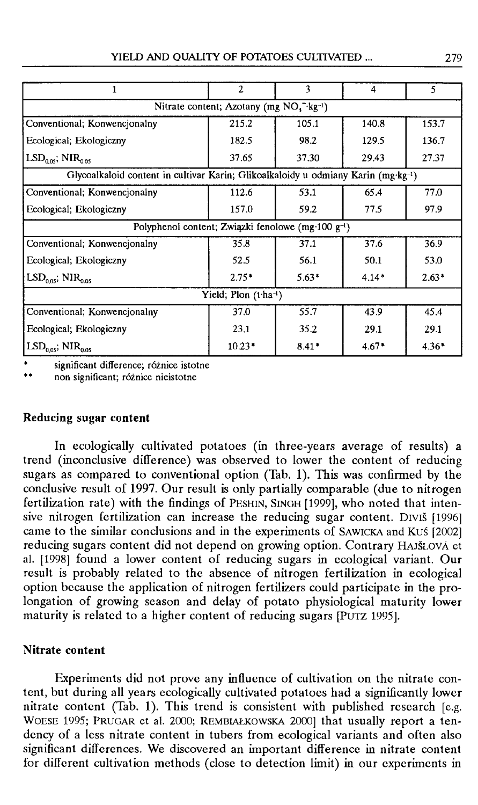|                                                                                   | $\overline{2}$ | 3       | 4       | 5       |  |  |
|-----------------------------------------------------------------------------------|----------------|---------|---------|---------|--|--|
| Nitrate content; Azotany (mg $NO3-1kg-1$ )                                        |                |         |         |         |  |  |
| Conventional; Konwencjonalny                                                      | 215.2          | 105.1   | 140.8   | 153.7   |  |  |
| Ecological; Ekologiczny                                                           | 182.5          | 98.2    | 129.5   | 136.7   |  |  |
| $LSD0.05$ ; NIR <sub>0.05</sub>                                                   | 37.65          | 37.30   | 29.43   | 27.37   |  |  |
| Glycoalkaloid content in cultivar Karin; Glikoalkaloidy u odmiany Karin (mg·kg-1) |                |         |         |         |  |  |
| Conventional; Konwencjonalny                                                      | 112.6          | 53.1    | 65.4    | 77.0    |  |  |
| Ecological: Ekologiczny                                                           | 157.0          | 59.2    | 77.5    | 97.9    |  |  |
| Polyphenol content; Związki fenolowe (mg·100 g <sup>-1</sup> )                    |                |         |         |         |  |  |
| Conventional; Konwencjonalny                                                      | 35.8           | 37.1    | 37.6    | 36.9    |  |  |
| Ecological; Ekologiczny                                                           | 52.5           | 56.1    | 50.1    | 53.0    |  |  |
| $\text{LSD}_{0.05}$ ; $\text{NIR}_{0.05}$                                         | $2.75*$        | $5.63*$ | $4.14*$ | $2.63*$ |  |  |
| Yield; Plon (t-ha-1)                                                              |                |         |         |         |  |  |
| Conventional; Konwencjonalny                                                      | 37.0           | 55.7    | 43.9    | 45.4    |  |  |
| Ecological; Ekologiczny                                                           | 23.1           | 35.2    | 29.1    | 29.1    |  |  |
| $LSD0.05$ ; NIR <sub>0.05</sub>                                                   | $10.23*$       | $8.41*$ | $4.67*$ | $4.36*$ |  |  |

significant difference; różnice istotne

•• non significant; różnice nieistotne

#### **Reducing sugar content**

In ecologically cultivated potatoes (in three-years average of results) a trend (inconclusive difference) was observed to lower the content of reducing sugars as compared to conventional option (Tab. 1). This was confirmed by the conclusive result of 1997. Our result is only partially comparable (due to nitrogen fertilization rate) with the findings of PESHIN, SINGH [1999], who noted that intensive nitrogen fertilization can increase the reducing sugar content. Drv1š [1996] carne to the similar conclusions and in the experiments of SAWICKA and Kuś [2002] reducing sugars content did not depend on growing option. Contrary HAJŚLOVA et al. [1998] found a lower content of reducing sugars in ecological variant. Our result is probably related to the absence of nitrogen fertilization in ecological option because the application of nitrogen fertilizers could participate in the prolongation of growing season and delay of potato physiological maturity lower maturity is related to a higher content of reducing sugars [PUTZ 1995].

#### **Nitrate content**

Experiments did not prove any influence of cultivation on the nitrate content, but during all years ecologically cultivated potatoes had a significantly lower nitrate content (Tab. 1). This trend is consistent with published research [e.g. WOESE 1995; PRUGAR et al. 2000; REMBIAŁKOWSKA 2000] that usually report a tendency of a less nitrate content in tubers from ecological variants and often also significant differences. We discovered an important difference in nitrate content for different cultivation methods (close to detection limit) in our experiments in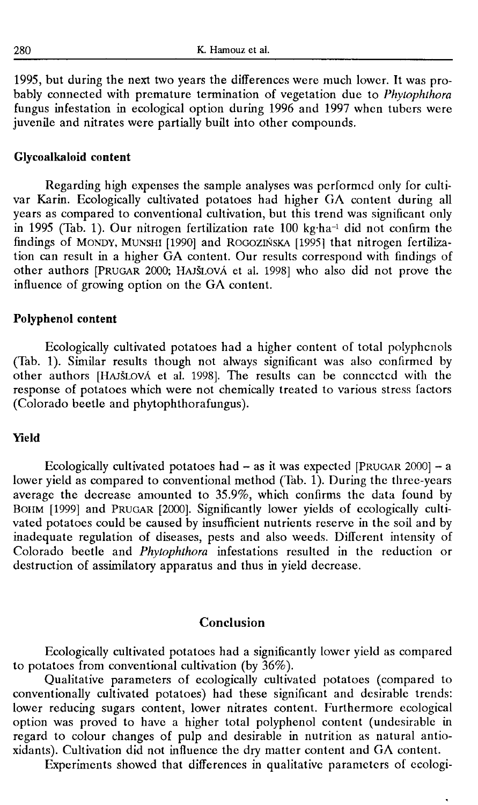1995, but during the next two years the differenccs were much lowcr. It was probably connected with premature termination of vegetation due to *Phytophthora*  fungus infestation in ecological option during 1996 and 1997 whcn tubers were juvenile and nitrates were partially built into other compounds.

#### **Glycoalkaloid content**

Regarding high expenses the sample analyses was performcd only for cultivar Karin. Ecologically cultivated potatoes had higher GA content during all years as compared to conventional cultivation, but this trend was significant only in 1995 (Tab. 1). Our nitrogen fertilization rate 100 kg·ha-1 did not confirm the findings of MONDY, MUNSHI [1990] and ROGOZIŃSKA [1995] that nitrogen fertilization can result in a higher GA content. Our results correspond with findings of other authors [PRUGAR 2000; HAJŚLOVA et al. 1998] who also did not prove the influence of growing option on the GA content.

#### **Polyphenol content**

Ecologically cultivated potatoes had a higher content of total polyphcnols (Tab. 1). Similar results though not always significant was also confirmcd by other authors [HAJŚLovA et al. 1998]. The results can be conncctcd with the response of potatoes which were not chemically treated to various stress factors (Colorado beetle and phytophthorafungus).

#### **Yield**

Ecologically cultivated potatoes had - as it was expected [PRUGAR 2000] - a lower yield as compared to conventional method (Tab. 1). During the three-years averagc the decreasc amounted to 35.9%, which confirms the data found by BOIIM [1999] and PRUGAR [2000]. Significantly lower yields of ecologically cultivated potatoes could be caused by insufficient nutrients reserve in the soil and by inadequate regulation of diseases, pests and also weeds. Different intensity of Colorado beetle and *Phytophthora* infestations resulted in the reduction or destruction of assimilatory apparatus and thus in yield decrease.

#### **Conclusion**

Ecologically cultivated potatoes had a significantly lowcr yield as compared to potatoes from conventional cultivation (by 36% ).

Qualitative parameters of ecologically cultivated potatoes (compared to conventionally cultivated potatoes) bad these significant and desirable trends: lower reducing sugars content, lower nitrates content. Furthermore ecological option was proved to have a higher total polyphenol content (undcsirablc in regard to colour changes of pulp and desirable in nutrition as natural antioxidants). Cultivation did not influence the dry matter content and GA content.

Experiments showed that differences in qualitative parameters of ecologi-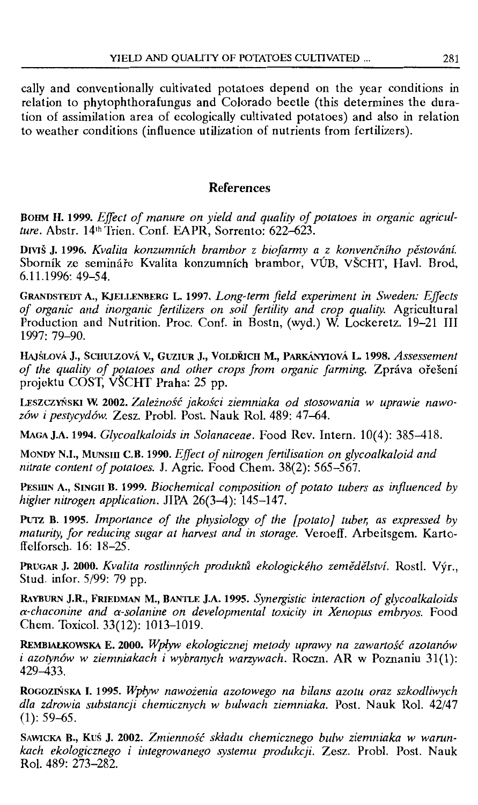cally and convcntionally cultivated potatoes depend on the year conditions in relation to phytophthorafungus and Colorado beetle (this determines the duration of assimilation area of ecologically cultivated potatoes) and also in relation to weather conditions (influence utilization of nutrients from fertilizers).

# **References**

BOHM H. 1999. *Effect of manure on yield and quality of potatoes in organic agriculture.* Abstr. 14th Trien. Conf. EAPR, Sorrento: 622-623.

Drviš J. 1996. *Kvalita konzumních brambor z biofarmy a z konvenčního pěstování*. Sborník ze semináře Kvalita konzumních brambor, VÚB, VŠCHT, Havl. Brod, 6.11.1996: 49-54.

GRANDSTEDT A., KJELLENBERG L. 1997. Long-term field experiment in Sweden: Effects *of organie and inorganic fertilizers on soi! fertility and crop quality.* Agricultural Production and Nutrition. Proc. Conf. in Bostn, (wyd.) W Lockeretz. 19-21 III 1997: 79-90.

HAJŠLOVÁ J., SCHULZOVÁ V., GUZIUR J., VOLDŘICH M., PARKÁNYIOVÁ L. 1998. Assessement of the quality of potatoes and other crops from organic farming. Zpráva ořešení projektu COST, VSCHT Praha: 25 pp.

LESZCZYŃSKI W. 2002. Zależność jakości *ziemniaka od stosowania w uprawie nawozów i pestycydów.* Zesz. Probl. Post. Nauk Rol. 489: 47-64.

**MAGA J.A. 1994.** *Glycoalkaloids in Solanaceae.* Food Rev. Intern. 10( 4): 385-418.

**MONDY N.I., MUNSIII C.B. 1990.** *Effect of nitrogen fertilisation on glycoalkaloid and nitrate content of potatoes.* **J.** Agric. Food Chem. 38(2): 565-567.

**PESIIIN A., SINGH B. 1999.** *Biochemical composition of polata tubers as influenced by higher nitrogen application.* **JIPA** 26(3-4): 145-147.

PUTZ **B.** 1995. *Importance of the physiology of the [potato] tuber, as expressed by maturity, for reducing sugar at harvest and in storage.* Veroeff. Arbeitsgem. Kartoff elforsch. 16: 18-25.

**PRUGAR J. 2000.** *Kvalita rostlinnych produktu ekologickeho zemedelstvi.* Rostl. Vyr., Stud. infor. 5/99: 79 pp.

**RAYBURN J.R., FRIEDMAN M., BANTLE J.A. 1995.** *Synergistic interaction of glycoalkaloids a-chaconine and a-solanine on developmental toxicity in Xenopus embryos.* Food Chem. Toxicol. 33(12): 1013-1019.

REMBIAł.,KOWSKA **E. 2000.** Wpływ *ekologicznej metody uprawy na* zawartość *azotanów i azotynów w ziemniakach i wybranych warzywach.* Roczn. **AR** w Poznaniu 31(1): 429-433.

ROGOZIŃSKA I. 1995. Wpływ nawożenia *azotowego na bilans azotu oraz szkodliwych dla zdrowia substancji chemicznych w bulwach ziemniaka.* Post. Nauk Rol. 42/47  $(1): 59-65.$ 

SAWICKA **B.,** Kuś **J.** 2002. Zmienność składu *chemicznego bulw ziemniaka w warunkach ekologicznego* i *integrowanego systemu produkcji.* Zesz. Probl. Post. Nauk Rol. 489: 273-282.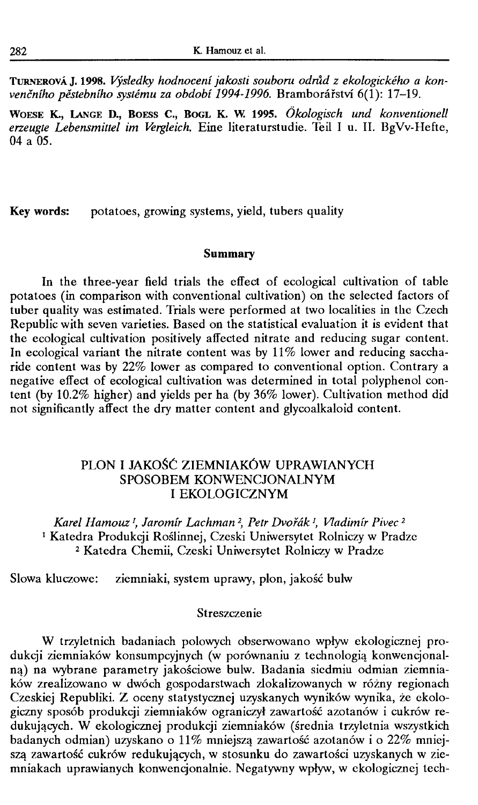**TURNEROVA J. 1998.** *Vysledky hodnoceni jakosti souboru odn1d z ekologickeho a kon*venčního pěstebního systému za období 1994-1996. Bramborářství 6(1): 17–19.

**WOESE K., LANGE D., BoEss C., BOGL K. W. 1995.** *Ókologisch und konventionell eneugte Lebensmittel im Vergleich.* Eine literaturstudie. Teil I u. Il. BgVv-Hefte,  $04a\,05$ 

**Key words:** potatoes, growing systems, yield, tubers quality

#### **Summary**

In the three-year field trials the effect of ecological cultivation of table potatoes (in comparison with conventional cultivation) on the selected factors of tuber quality was estimated. Trials were performed at two localities in the Czech Republic with seven varieties. Based on the statistical evaluation it is evident that the ecological cultivation positively affected nitrate and reducing sugar content. In ecological variant the nitrate content was by  $11\%$  lower and reducing saccharide content was by 22% lower as compared to conventional option. Contrary a negative effect of ecological cultivation was determined in total polyphenol content (by 10.2% higher) and yields per ha (by 36% lower). Cultivation method did not significantly affect the dry matter content and glycoalkaloid content.

## PLON I JAKOŚĆ ZIEMNIAKÓW UPRAWIANYCH SPOSOBEM KONWENCJONALNYM I EKOLOGICZNYM

Karel Hamouz<sup>1</sup>, Jaromír Lachman<sup>2</sup>, Petr Dvořák<sup>1</sup>, Vladimír Pivec<sup>2</sup> 1 Katedra Produkcji Roślinnej, Czeski Uniwersytet Rolniczy w Pradze <sup>2</sup>Katedra Chemii, Czeski Uniwersytet Rolniczy w Pradze

Słowa kluczowe: ziemniaki, system uprawy, plon, jakość bulw

#### Streszczenie

W trzyletnich badaniach polowych obserwowano wpływ ekologicznej produkcji ziemniaków konsumpcyjnych (w porównaniu z technologią konwencjonalną) na wybrane parametry jakościowe bulw. Badania siedmiu odmian ziemniaków zrealizowano w dwóch gospodarstwach zlokalizowanych w różny regionach Czeskiej Republiki. Z oceny statystycznej uzyskanych wyników wynika, że ekologiczny sposób produkcji ziemniaków ograniczył zawartość azotanów i cukrów redukujących. W ekologicznej produkcji ziemniaków (średnia trzyletnia wszystkich badanych odmian) uzyskano o 11% mniejszą zawartość azotanów i o 22% mniejszą zawartość cukrów redukujących, w stosunku do zawartości uzyskanych w ziemniakach uprawianych konwencjonalnie. Negatywny wpływ, w ekologicznej tech